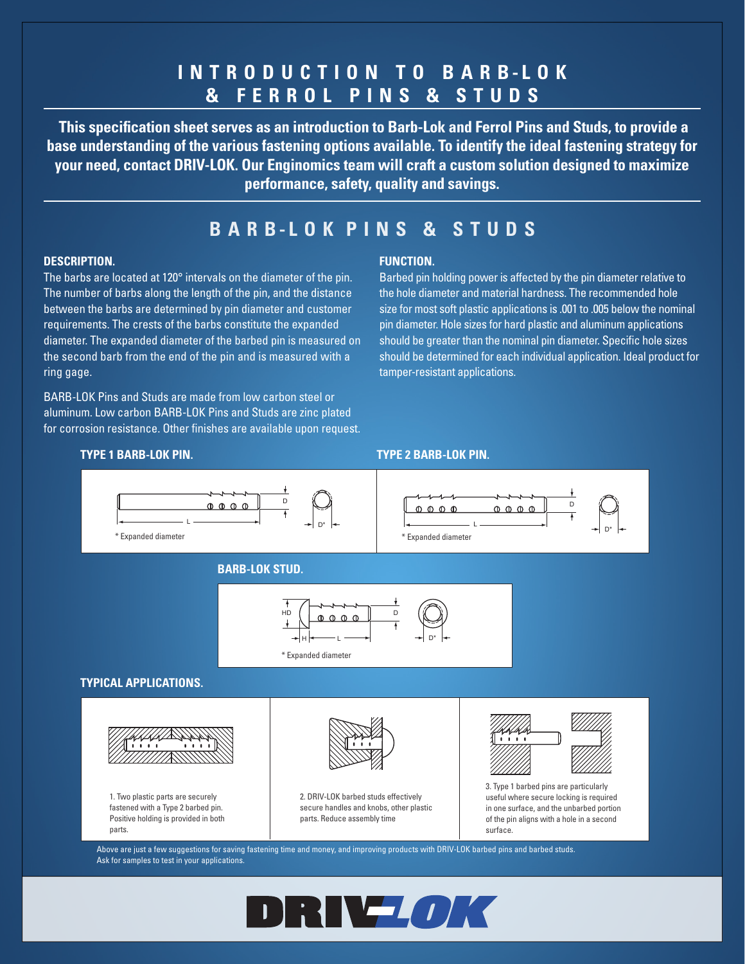# **INTRODUCTION TO B A R B - L O K & FERROL PINS & STUDS**

 **This specification sheet serves as an introduction to Barb-Lok and Ferrol Pins and Studs, to provide a base understanding of the various fastening options available. To identify the ideal fastening strategy for your need, contact DRIV-LOK. Our Enginomics team will craft a custom solution designed to maximize performance, safety, quality and savings.**

# **B A R B-L O K P I N S & S T U D S**

## **DESCRIPTION.**

The barbs are located at 120° intervals on the diameter of the pin. The number of barbs along the length of the pin, and the distance between the barbs are determined by pin diameter and customer requirements. The crests of the barbs constitute the expanded diameter. The expanded diameter of the barbed pin is measured on the second barb from the end of the pin and is measured with a ring gage.

BARB-LOK Pins and Studs are made from low carbon steel or aluminum. Low carbon BARB-LOK Pins and Studs are zinc plated for corrosion resistance. Other finishes are available upon request.

## **FUNCTION.**

Barbed pin holding power is affected by the pin diameter relative to the hole diameter and material hardness. The recommended hole size for most soft plastic applications is .001 to .005 below the nominal pin diameter. Hole sizes for hard plastic and aluminum applications should be greater than the nominal pin diameter. Specific hole sizes should be determined for each individual application. Ideal product for tamper-resistant applications.

#### **TYPE 1 BARB-LOK PIN. TYPE 2 BARB-LOK PIN.** L



Ask for samples to test in your applications.

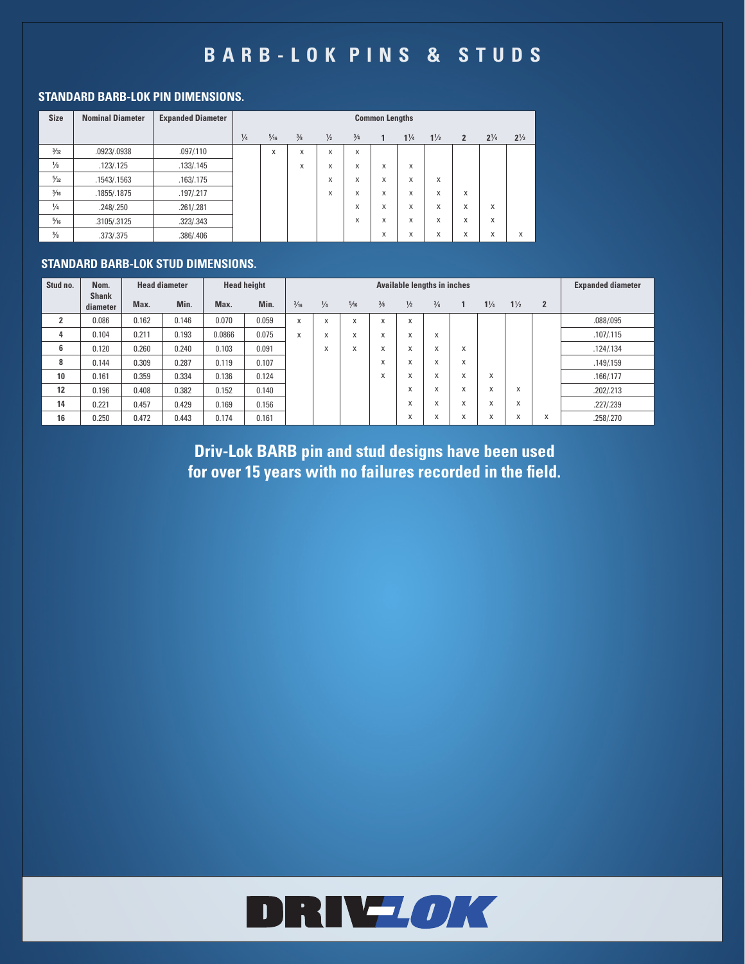# **B A R B - L O K P I N S & S T U D S**

## **STANDARD BARB-LOK PIN DIMENSIONS.**

| <b>Size</b>    | <b>Nominal Diameter</b> | <b>Expanded Diameter</b> | <b>Common Lengths</b> |                |     |               |     |                   |                |                |                |                |                |
|----------------|-------------------------|--------------------------|-----------------------|----------------|-----|---------------|-----|-------------------|----------------|----------------|----------------|----------------|----------------|
|                |                         |                          | 1/4                   | $\frac{5}{16}$ | 3/8 | $\frac{1}{2}$ | 3/4 | $\mathbf{1}$      | $1\frac{1}{4}$ | $1\frac{1}{2}$ | $\overline{2}$ | $2\frac{1}{4}$ | $2\frac{1}{2}$ |
| 3/32           | .0923/.0938             | .097/0110                |                       | X              | X   | X             | X   |                   |                |                |                |                |                |
| $\frac{1}{8}$  | .123/.125               | .133/.145                |                       |                | X   | X             | X   | X                 | X              |                |                |                |                |
| $\frac{5}{32}$ | .1543/.1563             | .163/.175                |                       |                |     | X             | X   | x                 | X              | X              |                |                |                |
| $\frac{3}{16}$ | .1855/.1875             | .197/.217                |                       |                |     | X             | X   | X                 | X              | X              | X              |                |                |
| $\frac{1}{4}$  | .248/.250               | .261/.281                |                       |                |     |               | X   | x                 | X              | X              | X              | X              |                |
| $\frac{5}{16}$ | .3105/.3125             | .323/.343                |                       |                |     |               | X   | x                 | X              | X              | X              | X              |                |
| $\frac{3}{8}$  | .373/.375               | .386/.406                |                       |                |     |               |     | $\checkmark$<br>х | X              | X              | X              | X              | X              |

## **STANDARD BARB-LOK STUD DIMENSIONS.**

| Stud no.       | Nom.                     |       | <b>Head diameter</b> | <b>Head height</b> |       |                           | <b>Expanded diameter</b> |                |                                   |                   |                           |                                   |                     |                |                   |            |
|----------------|--------------------------|-------|----------------------|--------------------|-------|---------------------------|--------------------------|----------------|-----------------------------------|-------------------|---------------------------|-----------------------------------|---------------------|----------------|-------------------|------------|
|                | <b>Shank</b><br>diameter | Max.  | Min.                 | Max.               | Min.  | $\frac{3}{16}$            | $\frac{1}{4}$            | $\frac{5}{16}$ | 3/8                               | $\frac{1}{2}$     | $\frac{3}{4}$             | 1                                 | $1\frac{1}{4}$      | $1\frac{1}{2}$ | $\overline{2}$    |            |
| $\overline{2}$ | 0.086                    | 0.162 | 0.146                | 0.070              | 0.059 | X                         | X                        | X              | $\mathbf{v}$<br>х                 | X                 |                           |                                   |                     |                |                   | .088/.095  |
| 4              | 0.104                    | 0.211 | 0.193                | 0.0866             | 0.075 | $\ddot{\phantom{1}}$<br>л | $\mathbf{v}$<br>х        | X              | $\ddot{\phantom{1}}$<br>A         | $\checkmark$<br>л | X                         |                                   |                     |                |                   | .107/.115  |
| 6              | 0.120                    | 0.260 | 0.240                | 0.103              | 0.091 |                           | $\mathbf{v}$<br>Λ.       | X              | $\ddot{\phantom{1}}$<br>$\lambda$ | $\checkmark$<br>л | X                         | X                                 |                     |                |                   | .124/.134  |
| 8              | 0.144                    | 0.309 | 0.287                | 0.119              | 0.107 |                           |                          |                | A                                 | $\checkmark$<br>ж | X                         | X                                 |                     |                |                   | .149/0.159 |
| 10             | 0.161                    | 0.359 | 0.334                | 0.136              | 0.124 |                           |                          |                | $\ddot{\phantom{0}}$<br>A         | $\lambda$<br>A    | X                         | $\ddot{\phantom{1}}$<br>$\lambda$ | X                   |                |                   | .166/.177  |
| 12             | 0.196                    | 0.408 | 0.382                | 0.152              | 0.140 |                           |                          |                |                                   | $\checkmark$<br>A | X                         | X                                 | $\checkmark$<br>A   | X              |                   | .202/.213  |
| 14             | 0.221                    | 0.457 | 0.429                | 0.169              | 0.156 |                           |                          |                |                                   | $\lambda$<br>л    | X                         | $\mathbf{v}$<br>ж                 | $\lambda$<br>A      | X              |                   | .227/.239  |
| 16             | 0.250                    | 0.472 | 0.443                | 0.174              | 0.161 |                           |                          |                |                                   | $\lambda$<br>A    | $\ddot{\phantom{1}}$<br>х | $\mathbf{v}$<br>$\lambda$         | $\lambda$<br>$\sim$ | $\lambda$<br>A | $\checkmark$<br>л | .258/.270  |

**Driv-Lok BARB pin and stud designs have been used for over 15 years with no failures recorded in the field.**